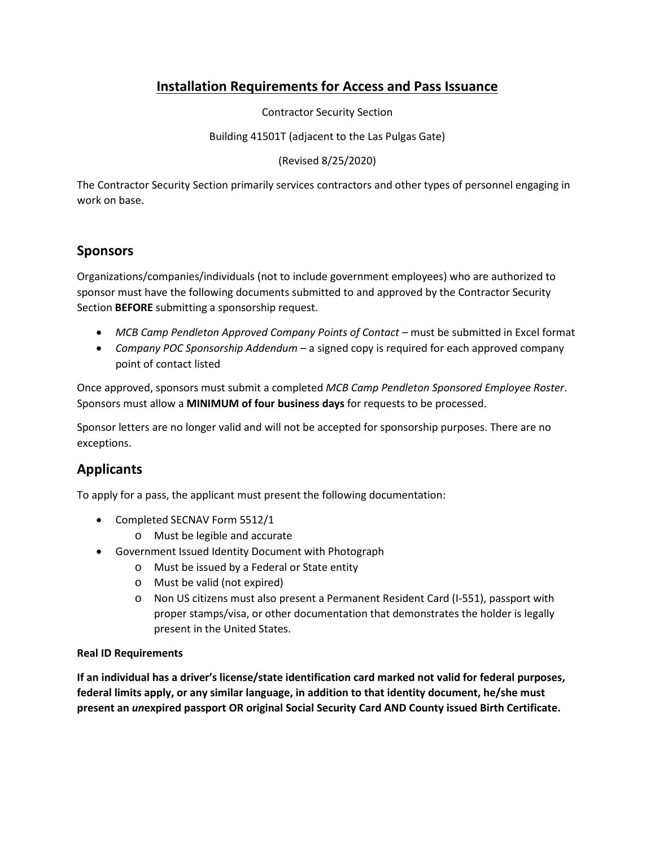## **Installation Requirements for Access and Pass Issuance**

Contractor Security Section

Building 41501T (adjacent to the Las Pulgas Gate)

(Revised 8/25/2020)

The Contractor Security Section primarily services contractors and other types of personnel engaging in work on base.

## **Sponsors**

Organizations/companies/individuals (not to include government employees) who are authorized to sponsor must have the following documents submitted to and approved by the Contractor Security Section **BEFORE** submitting a sponsorship request.

- *MCB Camp Pendleton Approved Company Points of Contact* must be submitted in Excel format
- *Company POC Sponsorship Addendum* a signed copy is required for each approved company point of contact listed

Once approved, sponsors must submit a completed *MCB Camp Pendleton Sponsored Employee Roster*. Sponsors must allow a **MINIMUM of four business days** for requests to be processed.

Sponsor letters are no longer valid and will not be accepted for sponsorship purposes. There are no exceptions.

## **Applicants**

To apply for a pass, the applicant must present the following documentation:

- Completed SECNAV Form 5512/1
	- o Must be legible and accurate
- Government Issued Identity Document with Photograph
	- o Must be issued by a Federal or State entity
	- o Must be valid (not expired)
	- o Non US citizens must also present a Permanent Resident Card (I-551), passport with proper stamps/visa, or other documentation that demonstrates the holder is legally present in the United States.

## **Real ID Requirements**

**If an individual has a driver's license/state identification card marked not valid for federal purposes, federal limits apply, or any similar language, in addition to that identity document, he/she must present an** *un***expired passport OR original Social Security Card AND County issued Birth Certificate.**